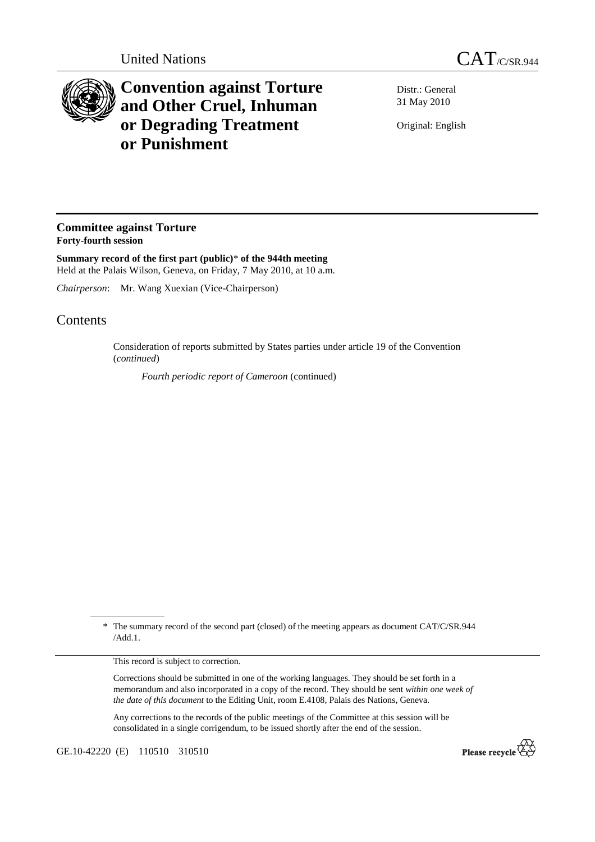

## **Convention against Torture and Other Cruel, Inhuman or Degrading Treatment or Punishment**

Distr.: General 31 May 2010

Original: English

## **Committee against Torture Forty-fourth session**

**Summary record of the first part (public)**\* **of the 944th meeting**  Held at the Palais Wilson, Geneva, on Friday, 7 May 2010, at 10 a.m.

*Chairperson*: Mr. Wang Xuexian (Vice-Chairperson)

## **Contents**

Consideration of reports submitted by States parties under article 19 of the Convention (*continued*)

*Fourth periodic report of Cameroon* (continued)

This record is subject to correction.

Corrections should be submitted in one of the working languages. They should be set forth in a memorandum and also incorporated in a copy of the record. They should be sent *within one week of the date of this document* to the Editing Unit, room E.4108, Palais des Nations, Geneva.

Any corrections to the records of the public meetings of the Committee at this session will be consolidated in a single corrigendum, to be issued shortly after the end of the session.

GE.10-42220 (E) 110510 310510



 <sup>\*</sup> The summary record of the second part (closed) of the meeting appears as document CAT/C/SR.944 /Add.1.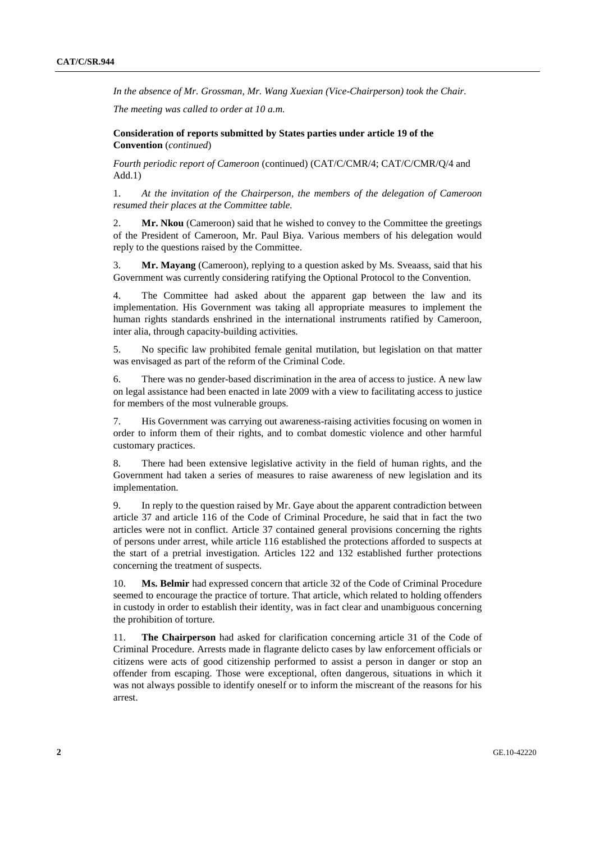*In the absence of Mr. Grossman, Mr. Wang Xuexian (Vice-Chairperson) took the Chair.* 

*The meeting was called to order at 10 a.m.* 

 **Consideration of reports submitted by States parties under article 19 of the Convention** (*continued*)

*Fourth periodic report of Cameroon* (continued) (CAT/C/CMR/4; CAT/C/CMR/Q/4 and Add.1)

1. *At the invitation of the Chairperson, the members of the delegation of Cameroon resumed their places at the Committee table.* 

2. **Mr. Nkou** (Cameroon) said that he wished to convey to the Committee the greetings of the President of Cameroon, Mr. Paul Biya. Various members of his delegation would reply to the questions raised by the Committee.

3. **Mr. Mayang** (Cameroon), replying to a question asked by Ms. Sveaass, said that his Government was currently considering ratifying the Optional Protocol to the Convention.

4. The Committee had asked about the apparent gap between the law and its implementation. His Government was taking all appropriate measures to implement the human rights standards enshrined in the international instruments ratified by Cameroon, inter alia, through capacity-building activities.

5. No specific law prohibited female genital mutilation, but legislation on that matter was envisaged as part of the reform of the Criminal Code.

6. There was no gender-based discrimination in the area of access to justice. A new law on legal assistance had been enacted in late 2009 with a view to facilitating access to justice for members of the most vulnerable groups.

7. His Government was carrying out awareness-raising activities focusing on women in order to inform them of their rights, and to combat domestic violence and other harmful customary practices.

8. There had been extensive legislative activity in the field of human rights, and the Government had taken a series of measures to raise awareness of new legislation and its implementation.

9. In reply to the question raised by Mr. Gaye about the apparent contradiction between article 37 and article 116 of the Code of Criminal Procedure, he said that in fact the two articles were not in conflict. Article 37 contained general provisions concerning the rights of persons under arrest, while article 116 established the protections afforded to suspects at the start of a pretrial investigation. Articles 122 and 132 established further protections concerning the treatment of suspects.

10. **Ms. Belmir** had expressed concern that article 32 of the Code of Criminal Procedure seemed to encourage the practice of torture. That article, which related to holding offenders in custody in order to establish their identity, was in fact clear and unambiguous concerning the prohibition of torture.

11. **The Chairperson** had asked for clarification concerning article 31 of the Code of Criminal Procedure. Arrests made in flagrante delicto cases by law enforcement officials or citizens were acts of good citizenship performed to assist a person in danger or stop an offender from escaping. Those were exceptional, often dangerous, situations in which it was not always possible to identify oneself or to inform the miscreant of the reasons for his arrest.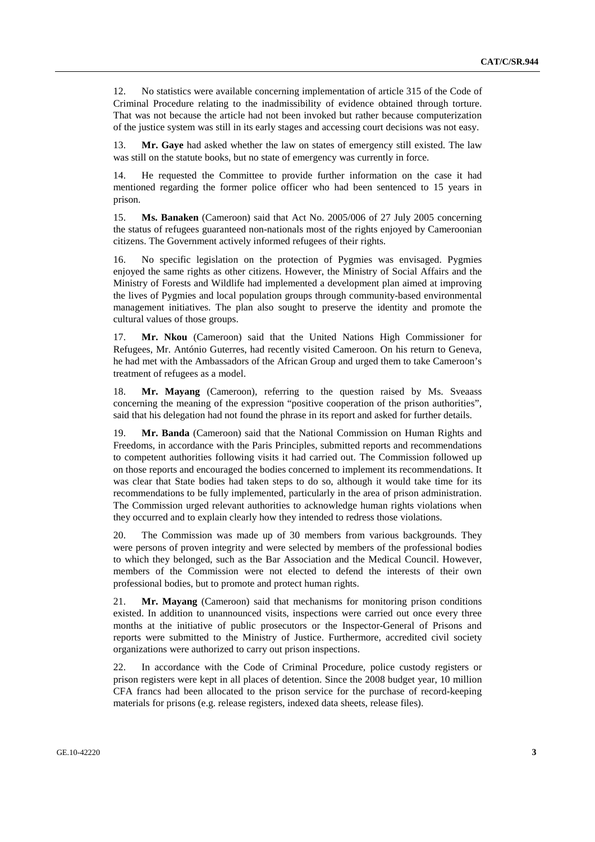12. No statistics were available concerning implementation of article 315 of the Code of Criminal Procedure relating to the inadmissibility of evidence obtained through torture. That was not because the article had not been invoked but rather because computerization of the justice system was still in its early stages and accessing court decisions was not easy.

13. **Mr. Gaye** had asked whether the law on states of emergency still existed. The law was still on the statute books, but no state of emergency was currently in force.

14. He requested the Committee to provide further information on the case it had mentioned regarding the former police officer who had been sentenced to 15 years in prison.

15. **Ms. Banaken** (Cameroon) said that Act No. 2005/006 of 27 July 2005 concerning the status of refugees guaranteed non-nationals most of the rights enjoyed by Cameroonian citizens. The Government actively informed refugees of their rights.

16. No specific legislation on the protection of Pygmies was envisaged. Pygmies enjoyed the same rights as other citizens. However, the Ministry of Social Affairs and the Ministry of Forests and Wildlife had implemented a development plan aimed at improving the lives of Pygmies and local population groups through community-based environmental management initiatives. The plan also sought to preserve the identity and promote the cultural values of those groups.

17. **Mr. Nkou** (Cameroon) said that the United Nations High Commissioner for Refugees, Mr. António Guterres, had recently visited Cameroon. On his return to Geneva, he had met with the Ambassadors of the African Group and urged them to take Cameroon's treatment of refugees as a model.

18. **Mr. Mayang** (Cameroon), referring to the question raised by Ms. Sveaass concerning the meaning of the expression "positive cooperation of the prison authorities", said that his delegation had not found the phrase in its report and asked for further details.

19. **Mr. Banda** (Cameroon) said that the National Commission on Human Rights and Freedoms, in accordance with the Paris Principles, submitted reports and recommendations to competent authorities following visits it had carried out. The Commission followed up on those reports and encouraged the bodies concerned to implement its recommendations. It was clear that State bodies had taken steps to do so, although it would take time for its recommendations to be fully implemented, particularly in the area of prison administration. The Commission urged relevant authorities to acknowledge human rights violations when they occurred and to explain clearly how they intended to redress those violations.

20. The Commission was made up of 30 members from various backgrounds. They were persons of proven integrity and were selected by members of the professional bodies to which they belonged, such as the Bar Association and the Medical Council. However, members of the Commission were not elected to defend the interests of their own professional bodies, but to promote and protect human rights.

21. **Mr. Mayang** (Cameroon) said that mechanisms for monitoring prison conditions existed. In addition to unannounced visits, inspections were carried out once every three months at the initiative of public prosecutors or the Inspector-General of Prisons and reports were submitted to the Ministry of Justice. Furthermore, accredited civil society organizations were authorized to carry out prison inspections.

22. In accordance with the Code of Criminal Procedure, police custody registers or prison registers were kept in all places of detention. Since the 2008 budget year, 10 million CFA francs had been allocated to the prison service for the purchase of record-keeping materials for prisons (e.g. release registers, indexed data sheets, release files).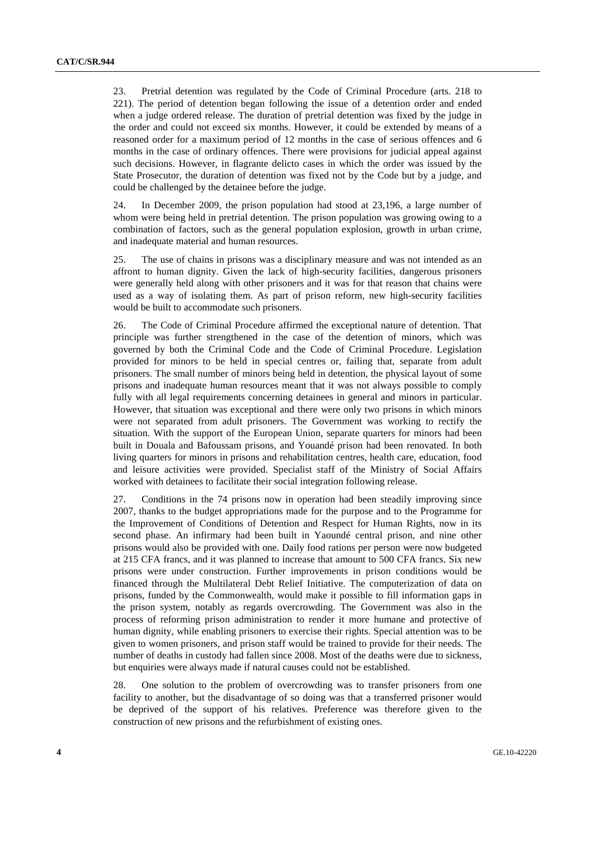23. Pretrial detention was regulated by the Code of Criminal Procedure (arts. 218 to 221). The period of detention began following the issue of a detention order and ended when a judge ordered release. The duration of pretrial detention was fixed by the judge in the order and could not exceed six months. However, it could be extended by means of a reasoned order for a maximum period of 12 months in the case of serious offences and 6 months in the case of ordinary offences. There were provisions for judicial appeal against such decisions. However, in flagrante delicto cases in which the order was issued by the State Prosecutor, the duration of detention was fixed not by the Code but by a judge, and could be challenged by the detainee before the judge.

24. In December 2009, the prison population had stood at 23,196, a large number of whom were being held in pretrial detention. The prison population was growing owing to a combination of factors, such as the general population explosion, growth in urban crime, and inadequate material and human resources.

25. The use of chains in prisons was a disciplinary measure and was not intended as an affront to human dignity. Given the lack of high-security facilities, dangerous prisoners were generally held along with other prisoners and it was for that reason that chains were used as a way of isolating them. As part of prison reform, new high-security facilities would be built to accommodate such prisoners.

26. The Code of Criminal Procedure affirmed the exceptional nature of detention. That principle was further strengthened in the case of the detention of minors, which was governed by both the Criminal Code and the Code of Criminal Procedure. Legislation provided for minors to be held in special centres or, failing that, separate from adult prisoners. The small number of minors being held in detention, the physical layout of some prisons and inadequate human resources meant that it was not always possible to comply fully with all legal requirements concerning detainees in general and minors in particular. However, that situation was exceptional and there were only two prisons in which minors were not separated from adult prisoners. The Government was working to rectify the situation. With the support of the European Union, separate quarters for minors had been built in Douala and Bafoussam prisons, and Youandé prison had been renovated. In both living quarters for minors in prisons and rehabilitation centres, health care, education, food and leisure activities were provided. Specialist staff of the Ministry of Social Affairs worked with detainees to facilitate their social integration following release.

27. Conditions in the 74 prisons now in operation had been steadily improving since 2007, thanks to the budget appropriations made for the purpose and to the Programme for the Improvement of Conditions of Detention and Respect for Human Rights, now in its second phase. An infirmary had been built in Yaoundé central prison, and nine other prisons would also be provided with one. Daily food rations per person were now budgeted at 215 CFA francs, and it was planned to increase that amount to 500 CFA francs. Six new prisons were under construction. Further improvements in prison conditions would be financed through the Multilateral Debt Relief Initiative. The computerization of data on prisons, funded by the Commonwealth, would make it possible to fill information gaps in the prison system, notably as regards overcrowding. The Government was also in the process of reforming prison administration to render it more humane and protective of human dignity, while enabling prisoners to exercise their rights. Special attention was to be given to women prisoners, and prison staff would be trained to provide for their needs. The number of deaths in custody had fallen since 2008. Most of the deaths were due to sickness, but enquiries were always made if natural causes could not be established.

28. One solution to the problem of overcrowding was to transfer prisoners from one facility to another, but the disadvantage of so doing was that a transferred prisoner would be deprived of the support of his relatives. Preference was therefore given to the construction of new prisons and the refurbishment of existing ones.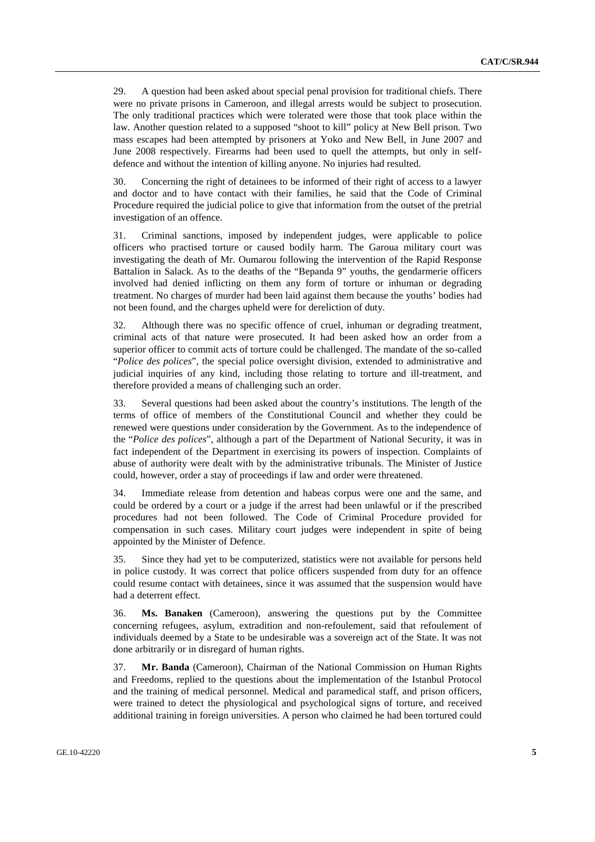29. A question had been asked about special penal provision for traditional chiefs. There were no private prisons in Cameroon, and illegal arrests would be subject to prosecution. The only traditional practices which were tolerated were those that took place within the law. Another question related to a supposed "shoot to kill" policy at New Bell prison. Two mass escapes had been attempted by prisoners at Yoko and New Bell, in June 2007 and June 2008 respectively. Firearms had been used to quell the attempts, but only in selfdefence and without the intention of killing anyone. No injuries had resulted.

30. Concerning the right of detainees to be informed of their right of access to a lawyer and doctor and to have contact with their families, he said that the Code of Criminal Procedure required the judicial police to give that information from the outset of the pretrial investigation of an offence.

31. Criminal sanctions, imposed by independent judges, were applicable to police officers who practised torture or caused bodily harm. The Garoua military court was investigating the death of Mr. Oumarou following the intervention of the Rapid Response Battalion in Salack. As to the deaths of the "Bepanda 9" youths, the gendarmerie officers involved had denied inflicting on them any form of torture or inhuman or degrading treatment. No charges of murder had been laid against them because the youths' bodies had not been found, and the charges upheld were for dereliction of duty.

32. Although there was no specific offence of cruel, inhuman or degrading treatment, criminal acts of that nature were prosecuted. It had been asked how an order from a superior officer to commit acts of torture could be challenged. The mandate of the so-called "*Police des polices*", the special police oversight division, extended to administrative and judicial inquiries of any kind, including those relating to torture and ill-treatment, and therefore provided a means of challenging such an order.

33. Several questions had been asked about the country's institutions. The length of the terms of office of members of the Constitutional Council and whether they could be renewed were questions under consideration by the Government. As to the independence of the "*Police des polices*", although a part of the Department of National Security, it was in fact independent of the Department in exercising its powers of inspection. Complaints of abuse of authority were dealt with by the administrative tribunals. The Minister of Justice could, however, order a stay of proceedings if law and order were threatened.

34. Immediate release from detention and habeas corpus were one and the same, and could be ordered by a court or a judge if the arrest had been unlawful or if the prescribed procedures had not been followed. The Code of Criminal Procedure provided for compensation in such cases. Military court judges were independent in spite of being appointed by the Minister of Defence.

35. Since they had yet to be computerized, statistics were not available for persons held in police custody. It was correct that police officers suspended from duty for an offence could resume contact with detainees, since it was assumed that the suspension would have had a deterrent effect.

36. **Ms. Banaken** (Cameroon), answering the questions put by the Committee concerning refugees, asylum, extradition and non-refoulement, said that refoulement of individuals deemed by a State to be undesirable was a sovereign act of the State. It was not done arbitrarily or in disregard of human rights.

37. **Mr. Banda** (Cameroon), Chairman of the National Commission on Human Rights and Freedoms, replied to the questions about the implementation of the Istanbul Protocol and the training of medical personnel. Medical and paramedical staff, and prison officers, were trained to detect the physiological and psychological signs of torture, and received additional training in foreign universities. A person who claimed he had been tortured could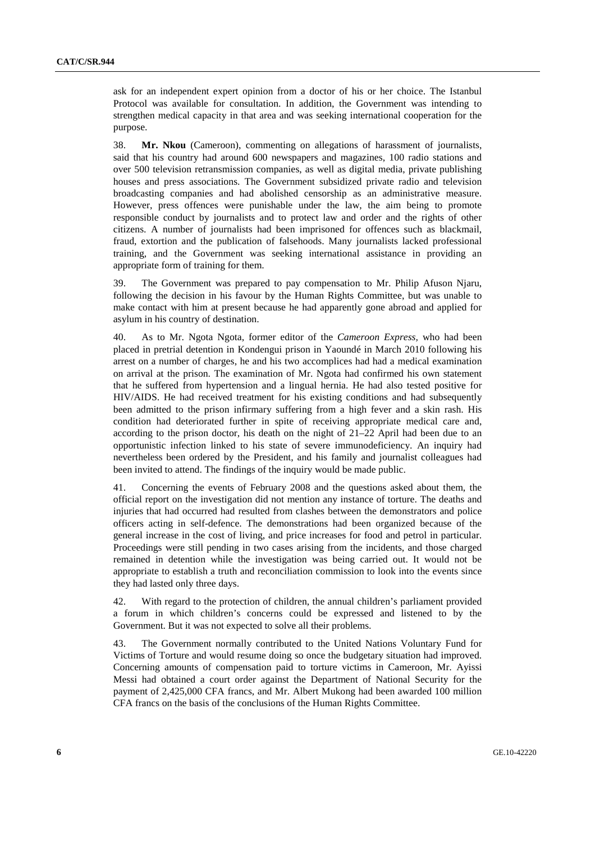ask for an independent expert opinion from a doctor of his or her choice. The Istanbul Protocol was available for consultation. In addition, the Government was intending to strengthen medical capacity in that area and was seeking international cooperation for the purpose.

38. **Mr. Nkou** (Cameroon), commenting on allegations of harassment of journalists, said that his country had around 600 newspapers and magazines, 100 radio stations and over 500 television retransmission companies, as well as digital media, private publishing houses and press associations. The Government subsidized private radio and television broadcasting companies and had abolished censorship as an administrative measure. However, press offences were punishable under the law, the aim being to promote responsible conduct by journalists and to protect law and order and the rights of other citizens. A number of journalists had been imprisoned for offences such as blackmail, fraud, extortion and the publication of falsehoods. Many journalists lacked professional training, and the Government was seeking international assistance in providing an appropriate form of training for them.

39. The Government was prepared to pay compensation to Mr. Philip Afuson Njaru, following the decision in his favour by the Human Rights Committee, but was unable to make contact with him at present because he had apparently gone abroad and applied for asylum in his country of destination.

40. As to Mr. Ngota Ngota, former editor of the *Cameroon Express,* who had been placed in pretrial detention in Kondengui prison in Yaoundé in March 2010 following his arrest on a number of charges, he and his two accomplices had had a medical examination on arrival at the prison. The examination of Mr. Ngota had confirmed his own statement that he suffered from hypertension and a lingual hernia. He had also tested positive for HIV/AIDS. He had received treatment for his existing conditions and had subsequently been admitted to the prison infirmary suffering from a high fever and a skin rash. His condition had deteriorated further in spite of receiving appropriate medical care and, according to the prison doctor, his death on the night of 21–22 April had been due to an opportunistic infection linked to his state of severe immunodeficiency. An inquiry had nevertheless been ordered by the President, and his family and journalist colleagues had been invited to attend. The findings of the inquiry would be made public.

41. Concerning the events of February 2008 and the questions asked about them, the official report on the investigation did not mention any instance of torture. The deaths and injuries that had occurred had resulted from clashes between the demonstrators and police officers acting in self-defence. The demonstrations had been organized because of the general increase in the cost of living, and price increases for food and petrol in particular. Proceedings were still pending in two cases arising from the incidents, and those charged remained in detention while the investigation was being carried out. It would not be appropriate to establish a truth and reconciliation commission to look into the events since they had lasted only three days.

42. With regard to the protection of children, the annual children's parliament provided a forum in which children's concerns could be expressed and listened to by the Government. But it was not expected to solve all their problems.

43. The Government normally contributed to the United Nations Voluntary Fund for Victims of Torture and would resume doing so once the budgetary situation had improved. Concerning amounts of compensation paid to torture victims in Cameroon, Mr. Ayissi Messi had obtained a court order against the Department of National Security for the payment of 2,425,000 CFA francs, and Mr. Albert Mukong had been awarded 100 million CFA francs on the basis of the conclusions of the Human Rights Committee.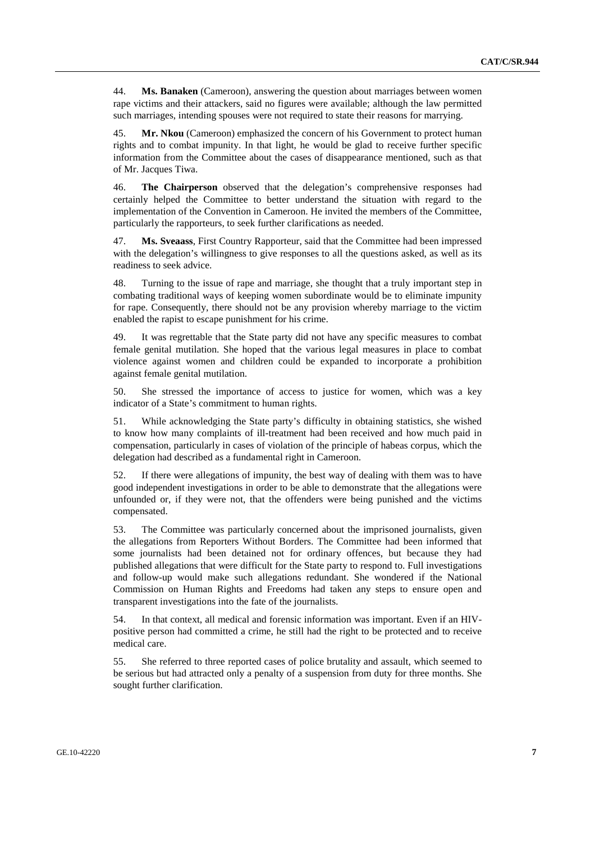44. **Ms. Banaken** (Cameroon), answering the question about marriages between women rape victims and their attackers, said no figures were available; although the law permitted such marriages, intending spouses were not required to state their reasons for marrying.

45. **Mr. Nkou** (Cameroon) emphasized the concern of his Government to protect human rights and to combat impunity. In that light, he would be glad to receive further specific information from the Committee about the cases of disappearance mentioned, such as that of Mr. Jacques Tiwa.

46. **The Chairperson** observed that the delegation's comprehensive responses had certainly helped the Committee to better understand the situation with regard to the implementation of the Convention in Cameroon. He invited the members of the Committee, particularly the rapporteurs, to seek further clarifications as needed.

47. **Ms. Sveaass**, First Country Rapporteur, said that the Committee had been impressed with the delegation's willingness to give responses to all the questions asked, as well as its readiness to seek advice.

48. Turning to the issue of rape and marriage, she thought that a truly important step in combating traditional ways of keeping women subordinate would be to eliminate impunity for rape. Consequently, there should not be any provision whereby marriage to the victim enabled the rapist to escape punishment for his crime.

49. It was regrettable that the State party did not have any specific measures to combat female genital mutilation. She hoped that the various legal measures in place to combat violence against women and children could be expanded to incorporate a prohibition against female genital mutilation.

50. She stressed the importance of access to justice for women, which was a key indicator of a State's commitment to human rights.

51. While acknowledging the State party's difficulty in obtaining statistics, she wished to know how many complaints of ill-treatment had been received and how much paid in compensation, particularly in cases of violation of the principle of habeas corpus, which the delegation had described as a fundamental right in Cameroon.

52. If there were allegations of impunity, the best way of dealing with them was to have good independent investigations in order to be able to demonstrate that the allegations were unfounded or, if they were not, that the offenders were being punished and the victims compensated.

53. The Committee was particularly concerned about the imprisoned journalists, given the allegations from Reporters Without Borders. The Committee had been informed that some journalists had been detained not for ordinary offences, but because they had published allegations that were difficult for the State party to respond to. Full investigations and follow-up would make such allegations redundant. She wondered if the National Commission on Human Rights and Freedoms had taken any steps to ensure open and transparent investigations into the fate of the journalists.

54. In that context, all medical and forensic information was important. Even if an HIVpositive person had committed a crime, he still had the right to be protected and to receive medical care.

55. She referred to three reported cases of police brutality and assault, which seemed to be serious but had attracted only a penalty of a suspension from duty for three months. She sought further clarification.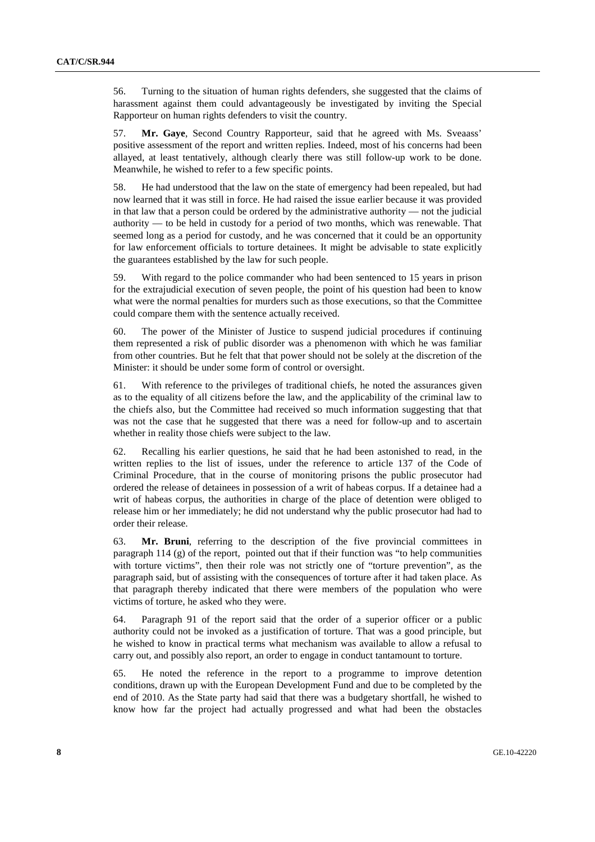56. Turning to the situation of human rights defenders, she suggested that the claims of harassment against them could advantageously be investigated by inviting the Special Rapporteur on human rights defenders to visit the country.

57. **Mr. Gaye**, Second Country Rapporteur, said that he agreed with Ms. Sveaass' positive assessment of the report and written replies. Indeed, most of his concerns had been allayed, at least tentatively, although clearly there was still follow-up work to be done. Meanwhile, he wished to refer to a few specific points.

58. He had understood that the law on the state of emergency had been repealed, but had now learned that it was still in force. He had raised the issue earlier because it was provided in that law that a person could be ordered by the administrative authority — not the judicial authority — to be held in custody for a period of two months, which was renewable. That seemed long as a period for custody, and he was concerned that it could be an opportunity for law enforcement officials to torture detainees. It might be advisable to state explicitly the guarantees established by the law for such people.

59. With regard to the police commander who had been sentenced to 15 years in prison for the extrajudicial execution of seven people, the point of his question had been to know what were the normal penalties for murders such as those executions, so that the Committee could compare them with the sentence actually received.

60. The power of the Minister of Justice to suspend judicial procedures if continuing them represented a risk of public disorder was a phenomenon with which he was familiar from other countries. But he felt that that power should not be solely at the discretion of the Minister: it should be under some form of control or oversight.

61. With reference to the privileges of traditional chiefs, he noted the assurances given as to the equality of all citizens before the law, and the applicability of the criminal law to the chiefs also, but the Committee had received so much information suggesting that that was not the case that he suggested that there was a need for follow-up and to ascertain whether in reality those chiefs were subject to the law.

62. Recalling his earlier questions, he said that he had been astonished to read, in the written replies to the list of issues, under the reference to article 137 of the Code of Criminal Procedure, that in the course of monitoring prisons the public prosecutor had ordered the release of detainees in possession of a writ of habeas corpus. If a detainee had a writ of habeas corpus, the authorities in charge of the place of detention were obliged to release him or her immediately; he did not understand why the public prosecutor had had to order their release.

63. **Mr. Bruni**, referring to the description of the five provincial committees in paragraph 114 (g) of the report, pointed out that if their function was "to help communities with torture victims", then their role was not strictly one of "torture prevention", as the paragraph said, but of assisting with the consequences of torture after it had taken place. As that paragraph thereby indicated that there were members of the population who were victims of torture, he asked who they were.

64. Paragraph 91 of the report said that the order of a superior officer or a public authority could not be invoked as a justification of torture. That was a good principle, but he wished to know in practical terms what mechanism was available to allow a refusal to carry out, and possibly also report, an order to engage in conduct tantamount to torture.

65. He noted the reference in the report to a programme to improve detention conditions, drawn up with the European Development Fund and due to be completed by the end of 2010. As the State party had said that there was a budgetary shortfall, he wished to know how far the project had actually progressed and what had been the obstacles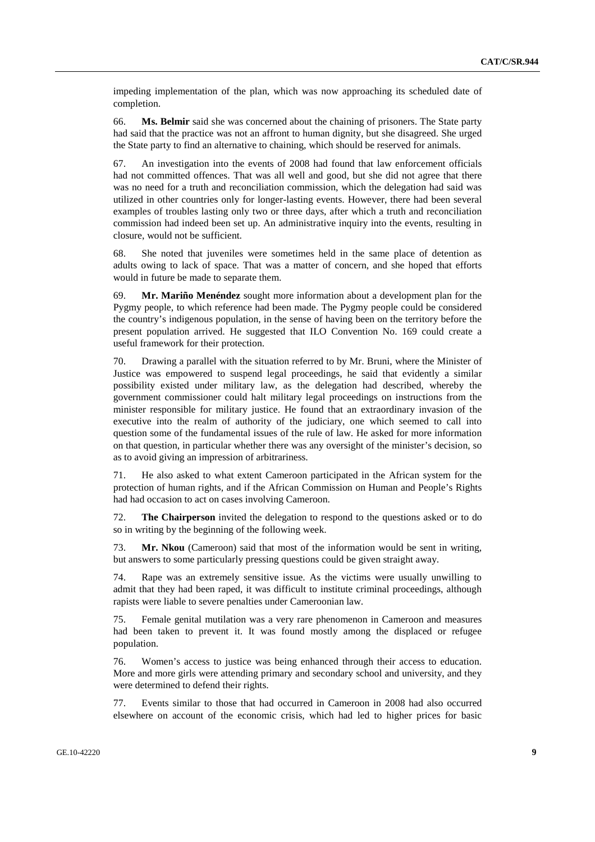impeding implementation of the plan, which was now approaching its scheduled date of completion.

66. **Ms. Belmir** said she was concerned about the chaining of prisoners. The State party had said that the practice was not an affront to human dignity, but she disagreed. She urged the State party to find an alternative to chaining, which should be reserved for animals.

67. An investigation into the events of 2008 had found that law enforcement officials had not committed offences. That was all well and good, but she did not agree that there was no need for a truth and reconciliation commission, which the delegation had said was utilized in other countries only for longer-lasting events. However, there had been several examples of troubles lasting only two or three days, after which a truth and reconciliation commission had indeed been set up. An administrative inquiry into the events, resulting in closure, would not be sufficient.

68. She noted that juveniles were sometimes held in the same place of detention as adults owing to lack of space. That was a matter of concern, and she hoped that efforts would in future be made to separate them.

69. **Mr. Mariño Menéndez** sought more information about a development plan for the Pygmy people, to which reference had been made. The Pygmy people could be considered the country's indigenous population, in the sense of having been on the territory before the present population arrived. He suggested that ILO Convention No. 169 could create a useful framework for their protection.

70. Drawing a parallel with the situation referred to by Mr. Bruni, where the Minister of Justice was empowered to suspend legal proceedings, he said that evidently a similar possibility existed under military law, as the delegation had described, whereby the government commissioner could halt military legal proceedings on instructions from the minister responsible for military justice. He found that an extraordinary invasion of the executive into the realm of authority of the judiciary, one which seemed to call into question some of the fundamental issues of the rule of law. He asked for more information on that question, in particular whether there was any oversight of the minister's decision, so as to avoid giving an impression of arbitrariness.

71. He also asked to what extent Cameroon participated in the African system for the protection of human rights, and if the African Commission on Human and People's Rights had had occasion to act on cases involving Cameroon.

72. **The Chairperson** invited the delegation to respond to the questions asked or to do so in writing by the beginning of the following week.

73. **Mr. Nkou** (Cameroon) said that most of the information would be sent in writing, but answers to some particularly pressing questions could be given straight away.

74. Rape was an extremely sensitive issue. As the victims were usually unwilling to admit that they had been raped, it was difficult to institute criminal proceedings, although rapists were liable to severe penalties under Cameroonian law.

75. Female genital mutilation was a very rare phenomenon in Cameroon and measures had been taken to prevent it. It was found mostly among the displaced or refugee population.

76. Women's access to justice was being enhanced through their access to education. More and more girls were attending primary and secondary school and university, and they were determined to defend their rights.

77. Events similar to those that had occurred in Cameroon in 2008 had also occurred elsewhere on account of the economic crisis, which had led to higher prices for basic